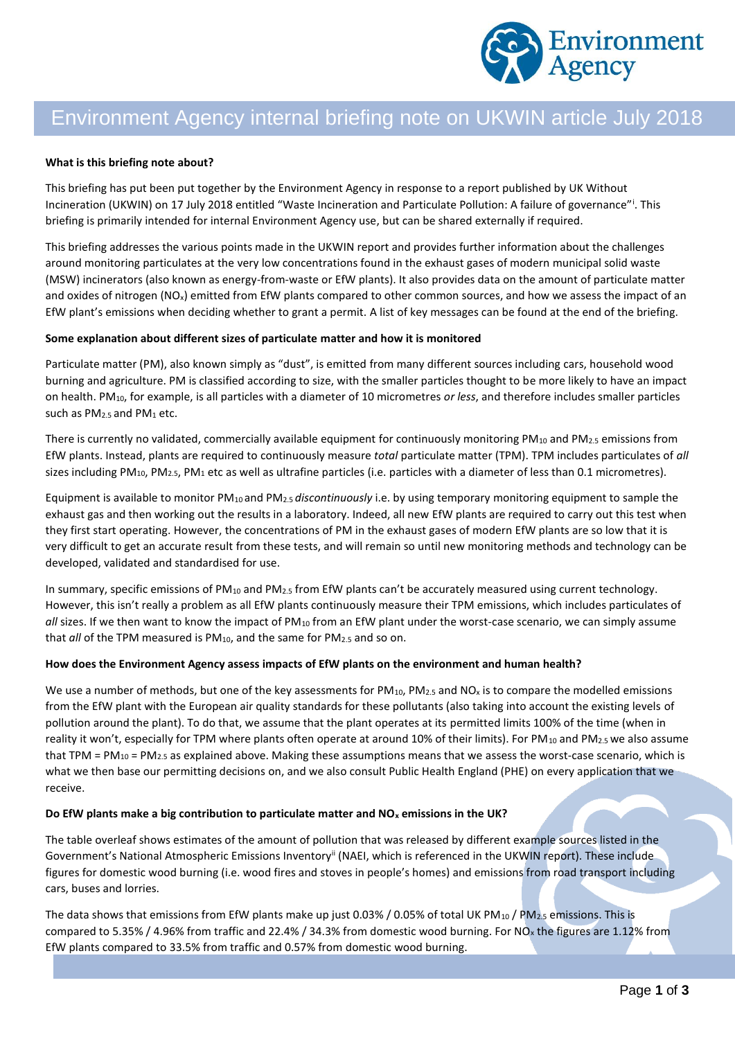

# Environment Agency internal briefing note on UKWIN article July 2018

#### **What is this briefing note about?**

This briefing has put been put together by the Environment Agency in response to a report published by UK Without Incineration (UKWIN) on 17 July 2018 entitled "Waste Incineration and Particulate Pollution: A failure of governance"<sup>i</sup>. This briefing is primarily intended for internal Environment Agency use, but can be shared externally if required.

This briefing addresses the various points made in the UKWIN report and provides further information about the challenges around monitoring particulates at the very low concentrations found in the exhaust gases of modern municipal solid waste (MSW) incinerators (also known as energy-from-waste or EfW plants). It also provides data on the amount of particulate matter and oxides of nitrogen ( $NO<sub>x</sub>$ ) emitted from EfW plants compared to other common sources, and how we assess the impact of an EfW plant's emissions when deciding whether to grant a permit. A list of key messages can be found at the end of the briefing.

#### **Some explanation about different sizes of particulate matter and how it is monitored**

Particulate matter (PM), also known simply as "dust", is emitted from many different sources including cars, household wood burning and agriculture. PM is classified according to size, with the smaller particles thought to be more likely to have an impact on health. PM10, for example, is all particles with a diameter of 10 micrometres *or less*, and therefore includes smaller particles such as PM<sub>2.5</sub> and PM<sub>1</sub> etc.

There is currently no validated, commercially available equipment for continuously monitoring PM<sub>10</sub> and PM<sub>2.5</sub> emissions from EfW plants. Instead, plants are required to continuously measure *total* particulate matter (TPM). TPM includes particulates of *all* sizes including PM<sub>10</sub>, PM<sub>2.5</sub>, PM<sub>1</sub> etc as well as ultrafine particles (i.e. particles with a diameter of less than 0.1 micrometres).

Equipment is available to monitor PM10 and PM2.5 *discontinuously* i.e. by using temporary monitoring equipment to sample the exhaust gas and then working out the results in a laboratory. Indeed, all new EfW plants are required to carry out this test when they first start operating. However, the concentrations of PM in the exhaust gases of modern EfW plants are so low that it is very difficult to get an accurate result from these tests, and will remain so until new monitoring methods and technology can be developed, validated and standardised for use.

In summary, specific emissions of PM<sub>10</sub> and PM<sub>2.5</sub> from EfW plants can't be accurately measured using current technology. However, this isn't really a problem as all EfW plants continuously measure their TPM emissions, which includes particulates of all sizes. If we then want to know the impact of PM<sub>10</sub> from an EfW plant under the worst-case scenario, we can simply assume that *all* of the TPM measured is PM<sub>10</sub>, and the same for PM<sub>2.5</sub> and so on.

#### **How does the Environment Agency assess impacts of EfW plants on the environment and human health?**

We use a number of methods, but one of the key assessments for  $PM_{10}$ ,  $PM_{2.5}$  and  $NO_x$  is to compare the modelled emissions from the EfW plant with the European air quality standards for these pollutants (also taking into account the existing levels of pollution around the plant). To do that, we assume that the plant operates at its permitted limits 100% of the time (when in reality it won't, especially for TPM where plants often operate at around 10% of their limits). For PM<sub>10</sub> and PM<sub>2.5</sub> we also assume that TPM = PM<sub>10</sub> = PM<sub>2.5</sub> as explained above. Making these assumptions means that we assess the worst-case scenario, which is what we then base our permitting decisions on, and we also consult Public Health England (PHE) on every application that we receive.

#### **Do EfW plants make a big contribution to particulate matter and NO<sup>x</sup> emissions in the UK?**

The table overleaf shows estimates of the amount of pollution that was released by different example sources listed in the Government's National Atmospheric Emissions Inventory<sup>ii</sup> (NAEI, which is referenced in the UKWIN report). These include figures for domestic wood burning (i.e. wood fires and stoves in people's homes) and emissions from road transport including cars, buses and lorries.

The data shows that emissions from EfW plants make up just 0.03% / 0.05% of total UK PM<sub>10</sub> / PM<sub>2.5</sub> emissions. This is compared to 5.35% / 4.96% from traffic and 22.4% / 34.3% from domestic wood burning. For NO<sub>x</sub> the figures are 1.12% from EfW plants compared to 33.5% from traffic and 0.57% from domestic wood burning.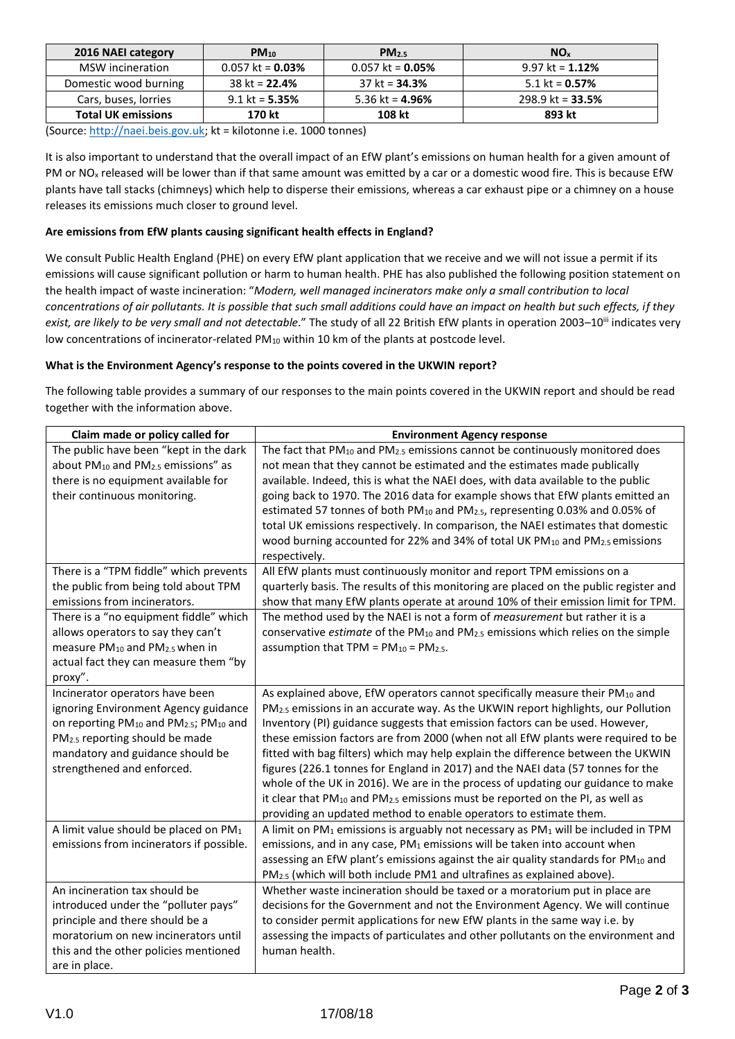| 2016 NAEI category        | $PM_{10}$          | PM <sub>2.5</sub>      | NO <sub>x</sub>         |
|---------------------------|--------------------|------------------------|-------------------------|
| MSW incineration          | $0.057$ kt = 0.03% | $0.057$ kt = 0.05%     | 9.97 kt = $1.12%$       |
| Domestic wood burning     | $38$ kt = 22.4%    | $37$ kt = <b>34.3%</b> | 5.1 kt = $0.57\%$       |
| Cars, buses, lorries      | $9.1$ kt = 5.35%   | 5.36 kt = $4.96\%$     | 298.9 kt = <b>33.5%</b> |
| <b>Total UK emissions</b> | 170 kt             | 108 kt                 | 893 kt                  |

(Source[: http://naei.beis.gov.uk;](http://naei.beis.gov.uk/) kt = kilotonne i.e. 1000 tonnes)

It is also important to understand that the overall impact of an EfW plant's emissions on human health for a given amount of PM or NO<sup>x</sup> released will be lower than if that same amount was emitted by a car or a domestic wood fire. This is because EfW plants have tall stacks (chimneys) which help to disperse their emissions, whereas a car exhaust pipe or a chimney on a house releases its emissions much closer to ground level.

## **Are emissions from EfW plants causing significant health effects in England?**

We consult Public Health England (PHE) on every EfW plant application that we receive and we will not issue a permit if its emissions will cause significant pollution or harm to human health. PHE has also published the following position statement on the health impact of waste incineration: "*Modern, well managed incinerators make only a small contribution to local concentrations of air pollutants. It is possible that such small additions could have an impact on health but such effects, if they*  exist, are likely to be very small and not detectable." The study of all 22 British EfW plants in operation 2003–10<sup>iii</sup> indicates very low concentrations of incinerator-related PM<sub>10</sub> within 10 km of the plants at postcode level.

### **What is the Environment Agency's response to the points covered in the UKWIN report?**

The following table provides a summary of our responses to the main points covered in the UKWIN report and should be read together with the information above.

| Claim made or policy called for                                                                                                                                                                                                  | <b>Environment Agency response</b>                                                                                                                                                                                                                                                                                                                                                                                                                                                                                                                                                                                                                                                                                                                                                          |
|----------------------------------------------------------------------------------------------------------------------------------------------------------------------------------------------------------------------------------|---------------------------------------------------------------------------------------------------------------------------------------------------------------------------------------------------------------------------------------------------------------------------------------------------------------------------------------------------------------------------------------------------------------------------------------------------------------------------------------------------------------------------------------------------------------------------------------------------------------------------------------------------------------------------------------------------------------------------------------------------------------------------------------------|
| The public have been "kept in the dark<br>about PM <sub>10</sub> and PM <sub>2.5</sub> emissions" as<br>there is no equipment available for<br>their continuous monitoring.                                                      | The fact that PM <sub>10</sub> and PM <sub>2.5</sub> emissions cannot be continuously monitored does<br>not mean that they cannot be estimated and the estimates made publically<br>available. Indeed, this is what the NAEI does, with data available to the public<br>going back to 1970. The 2016 data for example shows that EfW plants emitted an<br>estimated 57 tonnes of both PM <sub>10</sub> and PM <sub>2.5</sub> , representing 0.03% and 0.05% of<br>total UK emissions respectively. In comparison, the NAEI estimates that domestic<br>wood burning accounted for 22% and 34% of total UK PM <sub>10</sub> and PM <sub>2.5</sub> emissions<br>respectively.                                                                                                                  |
| There is a "TPM fiddle" which prevents<br>the public from being told about TPM<br>emissions from incinerators.                                                                                                                   | All EfW plants must continuously monitor and report TPM emissions on a<br>quarterly basis. The results of this monitoring are placed on the public register and<br>show that many EfW plants operate at around 10% of their emission limit for TPM.                                                                                                                                                                                                                                                                                                                                                                                                                                                                                                                                         |
| There is a "no equipment fiddle" which<br>allows operators to say they can't<br>measure PM <sub>10</sub> and PM <sub>2.5</sub> when in<br>actual fact they can measure them "by<br>proxy".                                       | The method used by the NAEI is not a form of measurement but rather it is a<br>conservative estimate of the PM <sub>10</sub> and PM <sub>2.5</sub> emissions which relies on the simple<br>assumption that TPM = $PM_{10} = PM_{2.5}$ .                                                                                                                                                                                                                                                                                                                                                                                                                                                                                                                                                     |
| Incinerator operators have been<br>ignoring Environment Agency guidance<br>on reporting PM10 and PM2.5; PM10 and<br>PM <sub>2.5</sub> reporting should be made<br>mandatory and guidance should be<br>strengthened and enforced. | As explained above, EfW operators cannot specifically measure their PM10 and<br>PM <sub>2.5</sub> emissions in an accurate way. As the UKWIN report highlights, our Pollution<br>Inventory (PI) guidance suggests that emission factors can be used. However,<br>these emission factors are from 2000 (when not all EfW plants were required to be<br>fitted with bag filters) which may help explain the difference between the UKWIN<br>figures (226.1 tonnes for England in 2017) and the NAEI data (57 tonnes for the<br>whole of the UK in 2016). We are in the process of updating our guidance to make<br>it clear that PM <sub>10</sub> and PM <sub>2.5</sub> emissions must be reported on the PI, as well as<br>providing an updated method to enable operators to estimate them. |
| A limit value should be placed on PM1<br>emissions from incinerators if possible.                                                                                                                                                | A limit on PM <sub>1</sub> emissions is arguably not necessary as PM <sub>1</sub> will be included in TPM<br>emissions, and in any case, PM1 emissions will be taken into account when<br>assessing an EfW plant's emissions against the air quality standards for PM10 and<br>PM <sub>2.5</sub> (which will both include PM1 and ultrafines as explained above).                                                                                                                                                                                                                                                                                                                                                                                                                           |
| An incineration tax should be<br>introduced under the "polluter pays"<br>principle and there should be a<br>moratorium on new incinerators until<br>this and the other policies mentioned<br>are in place.                       | Whether waste incineration should be taxed or a moratorium put in place are<br>decisions for the Government and not the Environment Agency. We will continue<br>to consider permit applications for new EfW plants in the same way i.e. by<br>assessing the impacts of particulates and other pollutants on the environment and<br>human health.                                                                                                                                                                                                                                                                                                                                                                                                                                            |